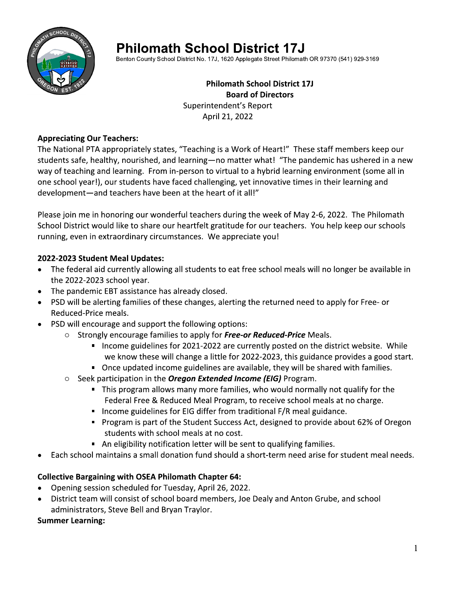

# **Philomath School District 17J**

Benton County School District No. 17J, 1620 Applegate Street Philomath OR 97370 (541) 929-3169

#### **Philomath School District 17J Board of Directors** Superintendent's Report April 21, 2022

#### **Appreciating Our Teachers:**

The National PTA appropriately states, "Teaching is a Work of Heart!" These staff members keep our students safe, healthy, nourished, and learning-no matter what! "The pandemic has ushered in a new way of teaching and learning. From in-person to virtual to a hybrid learning environment (some all in one school year!), our students have faced challenging, yet innovative times in their learning and development-and teachers have been at the heart of it all!"

Please join me in honoring our wonderful teachers during the week of May 2-6, 2022. The Philomath School District would like to share our heartfelt gratitude for our teachers. You help keep our schools running, even in extraordinary circumstances. We appreciate you!

### 2022-2023 Student Meal Updates:

- The federal aid currently allowing all students to eat free school meals will no longer be available in the 2022-2023 school year.
- The pandemic EBT assistance has already closed.
- PSD will be alerting families of these changes, alerting the returned need to apply for Free- or Reduced-Price meals.
- PSD will encourage and support the following options:
	- $\circ$  Strongly encourage families to apply for Free-or Reduced-Price Meals.
		- Income guidelines for 2021-2022 are currently posted on the district website. While we know these will change a little for 2022-2023, this guidance provides a good start.
		- Once updated income guidelines are available, they will be shared with families.
	- $\circ$  Seek participation in the **Oregon Extended Income (EIG)** Program.
		- This program allows many more families, who would normally not qualify for the Federal Free & Reduced Meal Program, to receive school meals at no charge.
		- Income guidelines for EIG differ from traditional F/R meal guidance.
		- Program is part of the Student Success Act, designed to provide about 62% of Oregon students with school meals at no cost.
		- An eligibility notification letter will be sent to qualifying families.
- Each school maintains a small donation fund should a short-term need arise for student meal needs.

### **Collective Bargaining with OSEA Philomath Chapter 64:**

- Opening session scheduled for Tuesday, April 26, 2022.
- District team will consist of school board members, Joe Dealy and Anton Grube, and school  $\bullet$ administrators, Steve Bell and Bryan Traylor.

#### **Summer Learning:**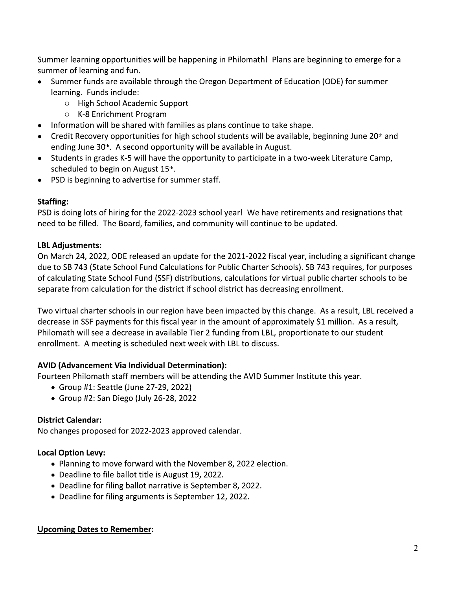Summer learning opportunities will be happening in Philomath! Plans are beginning to emerge for a summer of learning and fun.

- Summer funds are available through the Oregon Department of Education (ODE) for summer  $\bullet$ learning. Funds include:
	- o High School Academic Support
	- $\circ$  K-8 Enrichment Program
- Information will be shared with families as plans continue to take shape.
- Credit Recovery opportunities for high school students will be available, beginning June  $20<sup>th</sup>$  and ending June 30<sup>th</sup>. A second opportunity will be available in August.
- Students in grades K-5 will have the opportunity to participate in a two-week Literature Camp, scheduled to begin on August 15th.
- PSD is beginning to advertise for summer staff.  $\bullet$

### **Staffing:**

PSD is doing lots of hiring for the 2022-2023 school year! We have retirements and resignations that need to be filled. The Board, families, and community will continue to be updated.

## **LBL Adjustments:**

On March 24, 2022, ODE released an update for the 2021-2022 fiscal year, including a significant change due to SB 743 (State School Fund Calculations for Public Charter Schools). SB 743 requires, for purposes of calculating State School Fund (SSF) distributions, calculations for virtual public charter schools to be separate from calculation for the district if school district has decreasing enrollment.

Two virtual charter schools in our region have been impacted by this change. As a result, LBL received a decrease in SSF payments for this fiscal year in the amount of approximately \$1 million. As a result, Philomath will see a decrease in available Tier 2 funding from LBL, proportionate to our student enrollment. A meeting is scheduled next week with LBL to discuss.

### **AVID (Advancement Via Individual Determination):**

Fourteen Philomath staff members will be attending the AVID Summer Institute this year.

- Group #1: Seattle (June 27-29, 2022)
- Group #2: San Diego (July 26-28, 2022

## **District Calendar:**

No changes proposed for 2022-2023 approved calendar.

### **Local Option Levy:**

- Planning to move forward with the November 8, 2022 election.
- Deadline to file ballot title is August 19, 2022.
- Deadline for filing ballot narrative is September 8, 2022.
- Deadline for filing arguments is September 12, 2022.

### **Upcoming Dates to Remember:**